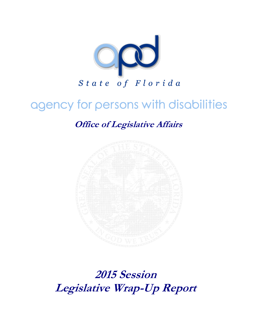

# agency for persons with disabilities

**Office of Legislative Affairs**



**2015 Session Legislative Wrap-Up Report**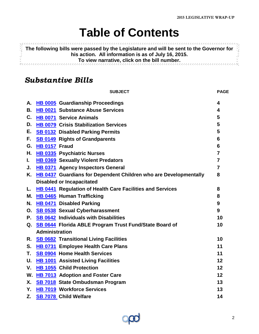# **Table of Contents**

<span id="page-1-0"></span>**11999999 The following bills were passed by the Legislature and will be sent to the Governor for his action. All information is as of July 16, 2015. To view narrative, click on the bill number.** Ř.

### *Substantive Bills*

|    |                       | <b>SUBJECT</b>                                                      | <b>PAGE</b>             |  |
|----|-----------------------|---------------------------------------------------------------------|-------------------------|--|
| А. |                       | <b>HB 0005</b> Guardianship Proceedings                             | 4                       |  |
| В. |                       | HB 0021 Substance Abuse Services                                    | 4                       |  |
| C. |                       | <b>HB 0071 Service Animals</b>                                      | 5                       |  |
| D. |                       | HB 0079 Crisis Stabilization Services                               | 5                       |  |
| Е. |                       | <b>SB 0132 Disabled Parking Permits</b>                             | 5                       |  |
| F. |                       | <b>SB 0149 Rights of Grandparents</b>                               | 6                       |  |
| G. | HB 0157 Fraud         |                                                                     | 6                       |  |
| Н. |                       | <b>HB 0335</b> Psychiatric Nurses                                   | $\overline{7}$          |  |
| L. |                       | <b>HB 0369</b> Sexually Violent Predators                           | $\overline{\mathbf{r}}$ |  |
| J. |                       | <b>HB 0371 Agency Inspectors General</b>                            | $\overline{7}$          |  |
|    |                       | K. HB 0437 Guardians for Dependent Children who are Developmentally | 8                       |  |
|    |                       | <b>Disabled or Incapacitated</b>                                    |                         |  |
| L. |                       | HB 0441 Regulation of Health Care Facilities and Services           | 8                       |  |
| М. |                       | <b>HB 0465 Human Trafficking</b>                                    | 8                       |  |
| N. |                       | HB 0471 Disabled Parking                                            | 9                       |  |
| О. |                       | <b>SB 0538</b> Sexual Cyberharassment                               | 9                       |  |
|    |                       | P. SB 0642 Individuals with Disabilities                            | 10                      |  |
|    |                       | Q. SB 0644 Florida ABLE Program Trust Fund/State Board of           | 10                      |  |
|    | <b>Administration</b> |                                                                     |                         |  |
| R. |                       | <b>SB 0682 Transitional Living Facilities</b>                       | 10                      |  |
| S. |                       | HB 0731 Employee Health Care Plans                                  | 11                      |  |
| Т. |                       | <b>SB 0904</b> Home Health Services                                 | 11                      |  |
| U. |                       | <b>HB 1001 Assisted Living Facilities</b>                           | 12                      |  |
| V. |                       | <b>HB 1055 Child Protection</b>                                     | 12                      |  |
| W. |                       | HB 7013 Adoption and Foster Care                                    | 12                      |  |
| X. |                       | SB 7018 State Ombudsman Program                                     | 13                      |  |
| Υ. |                       | <b>HB 7019 Workforce Services</b>                                   | 13                      |  |
| Z. |                       | <b>SB 7078 Child Welfare</b>                                        | 14                      |  |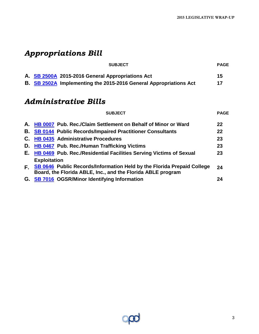## *Appropriations Bill*

|  | <b>SUBJECT</b>                                                           | <b>PAGE</b> |
|--|--------------------------------------------------------------------------|-------------|
|  | A. SB 2500A 2015-2016 General Appropriations Act                         | 15          |
|  | <b>B.</b> SB 2502A Implementing the 2015-2016 General Appropriations Act | 17          |

### *Administrative Bills*

| <b>SUBJECT</b>                                                                                                                                                 | <b>PAGE</b> |
|----------------------------------------------------------------------------------------------------------------------------------------------------------------|-------------|
| A. HB 0007 Pub. Rec./Claim Settlement on Behalf of Minor or Ward                                                                                               | 22          |
| <b>B. SB 0144 Public Records/Impaired Practitioner Consultants</b>                                                                                             | 22          |
| C. HB 0435 Administrative Procedures                                                                                                                           | 23          |
| D. HB 0467 Pub. Rec./Human Trafficking Victims                                                                                                                 | 23          |
| E. HB 0469 Pub. Rec./Residential Facilities Serving Victims of Sexual                                                                                          | 23          |
| <b>Exploitation</b><br>F SB 0646 Public Records/Information Held by the Florida Prepaid College<br>Board, the Florida ABLE, Inc., and the Florida ABLE program | 24          |
| G. SB 7016 OGSR/Minor Identifying Information                                                                                                                  | 24          |

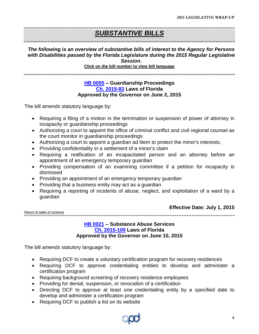### *SUBSTANTIVE BILLS*

#### *The following is an overview of substantive bills of interest to the Agency for Persons with Disabilities passed by the Florida Legislature during the 2015 Regular Legislative Session.*

**Click on the bill number to view bill language** 

<span id="page-3-0"></span>

#### **[HB 0005](http://www.flsenate.gov/Session/Bill/2015/0005/BillText/er/PDF) – Guardianship Proceedings [Ch. 2015-83](http://laws.flrules.org/2015/83) Laws of Florida Approved by the Governor on June 2, 2015**

The bill amends statutory language by:

- Requiring a filing of a motion in the termination or suspension of power of attorney in incapacity or guardianship proceedings
- Authorizing a court to appoint the office of criminal conflict and civil regional counsel as the court monitor in guardianship proceedings
- Authorizing a court to appoint a guardian ad litem to protect the minor's interests;
- Providing confidentiality in a settlement of a minor's claim
- Requiring a notification of an incapacitated person and an attorney before an appointment of an emergency temporary guardian
- Providing compensation of an examining committee if a petition for incapacity is dismissed
- Providing an appointment of an emergency temporary guardian
- Providing that a business entity may act as a guardian
- Requiring a reporting of incidents of abuse, neglect, and exploitation of a ward by a guardian

#### **Effective Date: July 1, 2015**

<span id="page-3-1"></span>[Return to table of contents](#page-1-0) 

#### **[HB 0021](http://www.flsenate.gov/Session/Bill/2015/0021/BillText/er/PDF) – Substance Abuse Services [Ch. 2015-100](http://laws.flrules.org/2015/100) Laws of Florida Approved by the Governor on June 10, 2015**

The bill amends statutory language by:

- Requiring DCF to create a voluntary certification program for recovery residences
- Requiring DCF to approve credentialing entities to develop and administer a certification program
- Requiring background screening of recovery residence employees
- Providing for denial, suspension, or revocation of a certification
- Directing DCF to approve at least one credentialing entity by a specified date to develop and administer a certification program
- Requiring DCF to publish a list on its website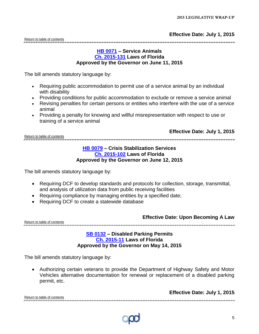#### **[HB 0071](http://www.flsenate.gov/Session/Bill/2015/0071/BillText/er/PDF) – Service Animals [Ch. 2015-131](http://laws.flrules.org/2015/131) Laws of Florida Approved by the Governor on June 11, 2015**

<span id="page-4-0"></span>The bill amends statutory language by:

- Requiring public accommodation to permit use of a service animal by an individual with disability
- Providing conditions for public accommodation to exclude or remove a service animal
- Revising penalties for certain persons or entities who interfere with the use of a service animal
- Providing a penalty for knowing and willful misrepresentation with respect to use or training of a service animal

<span id="page-4-1"></span>[Return to table of contents](#page-1-0)

**Effective Date: July 1, 2015**

#### **[HB 0079](http://www.flsenate.gov/Session/Bill/2015/0079/BillText/er/PDF) – Crisis Stabilization Services [Ch. 2015-102](http://laws.flrules.org/2015/102) Laws of Florida Approved by the Governor on June 12, 2015**

The bill amends statutory language by:

- Requiring DCF to develop standards and protocols for collection, storage, transmittal, and analysis of utilization data from public receiving facilities
- Requiring compliance by managing entities by a specified date;
- Requiring DCF to create a statewide database

**Effective Date: Upon Becoming A Law**

**Effective Date: July 1, 2015**

<span id="page-4-2"></span>[Return to table of contents](#page-1-0) sision in provinciale della contra della contra della contra della contra della contra della contra della contra della contra della contra

#### **[SB 0132](http://www.flsenate.gov/Session/Bill/2015/0132/BillText/er/PDF) – Disabled Parking Permits [Ch. 2015-11](http://laws.flrules.org/2015/11) Laws of Florida Approved by the Governor on May 14, 2015**

The bill amends statutory language by:

<span id="page-4-3"></span> Authorizing certain veterans to provide the Department of Highway Safety and Motor Vehicles alternative documentation for renewal or replacement of a disabled parking permit, etc.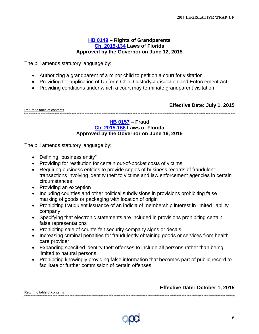#### **[HB 0149](http://www.flsenate.gov/Session/Bill/2015/0149/BillText/er/PDF) – Rights of Grandparents [Ch. 2015-134](http://laws.flrules.org/2015/134) Laws of Florida Approved by the Governor on June 12, 2015**

The bill amends statutory language by:

- Authorizing a grandparent of a minor child to petition a court for visitation
- Providing for application of Uniform Child Custody Jurisdiction and Enforcement Act
- Providing conditions under which a court may terminate grandparent visitation

**Effective Date: July 1, 2015**

<span id="page-5-0"></span>[Return to table of contents](#page-1-0) 

#### **[HB 0157](http://www.flsenate.gov/Session/Bill/2015/0157/BillText/er/PDF) – Fraud [Ch. 2015-166](http://laws.flrules.org/2015/166) Laws of Florida Approved by the Governor on June 16, 2015**

The bill amends statutory language by:

- Defining "business entity"
- Providing for restitution for certain out-of-pocket costs of victims
- Requiring business entities to provide copies of business records of fraudulent transactions involving identity theft to victims and law enforcement agencies in certain circumstances
- Providing an exception
- Including counties and other political subdivisions in provisions prohibiting false marking of goods or packaging with location of origin
- Prohibiting fraudulent issuance of an indicia of membership interest in limited liability company
- Specifying that electronic statements are included in provisions prohibiting certain false representations
- Prohibiting sale of counterfeit security company signs or decals
- Increasing criminal penalties for fraudulently obtaining goods or services from health care provider
- Expanding specified identity theft offenses to include all persons rather than being limited to natural persons
- Prohibiting knowingly providing false information that becomes part of public record to facilitate or further commission of certain offenses

**Effective Date: October 1, 2015**

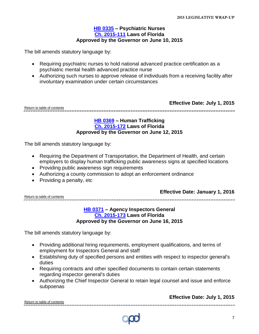#### **[HB 0335](http://www.flsenate.gov/Session/Bill/2015/0335/BillText/er/PDF) – Psychiatric Nurses [Ch. 2015-111](http://laws.flrules.org/2015/111) Laws of Florida Approved by the Governor on June 10, 2015**

<span id="page-6-0"></span>The bill amends statutory language by:

- Requiring psychiatric nurses to hold national advanced practice certification as a psychiatric mental health advanced practice nurse
- Authorizing such nurses to approve release of individuals from a receiving facility after involuntary examination under certain circumstances

[Return to table of contents](#page-1-0)

**Effective Date: July 1, 2015**

<span id="page-6-1"></span>

#### **[HB 0369](http://www.flsenate.gov/Session/Bill/2015/0369) – Human Trafficking [Ch. 2015-172](http://laws.flrules.org/2015/172) Laws of Florida Approved by the Governor on June 12, 2015**

The bill amends statutory language by:

- Requiring the Department of Transportation, the Department of Health, and certain employers to display human trafficking public awareness signs at specified locations
- Providing public awareness sign requirements
- Authorizing a county commission to adopt an enforcement ordinance
- Providing a penalty, etc

#### **Effective Date: January 1, 2016**

<span id="page-6-2"></span>[Return to table of contents](#page-1-0)

#### **[HB 0371](http://www.flsenate.gov/Session/Bill/2015/0371) – Agency Inspectors General [Ch. 2015-173](http://laws.flrules.org/2015/173) Laws of Florida Approved by the Governor on June 16, 2015**

The bill amends statutory language by:

- Providing additional hiring requirements, employment qualifications, and terms of employment for Inspectors General and staff
- Establishing duty of specified persons and entities with respect to inspector general's duties
- Requiring contracts and other specified documents to contain certain statements regarding inspector general's duties
- Authorizing the Chief Inspector General to retain legal counsel and issue and enforce subpoenas

**Effective Date: July 1, 2015**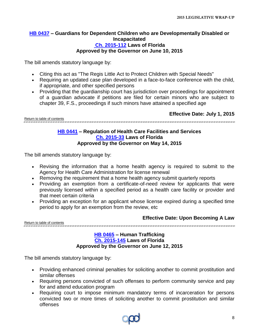#### <span id="page-7-0"></span>**[HB 0437](http://www.flsenate.gov/Session/Bill/2015/0437) – Guardians for Dependent Children who are Developmentally Disabled or Incapacitated [Ch. 2015-112](http://laws.flrules.org/2015/112) Laws of Florida Approved by the Governor on June 10, 2015**

The bill amends statutory language by:

- Citing this act as "The Regis Little Act to Protect Children with Special Needs"
- Requiring an updated case plan developed in a face-to-face conference with the child, if appropriate, and other specified persons
- Providing that the quardianship court has jurisdiction over proceedings for appointment of a guardian advocate if petitions are filed for certain minors who are subject to chapter 39, F.S., proceedings if such minors have attained a specified age

**Effective Date: July 1, 2015**

<span id="page-7-1"></span>[Return to table of contents](#page-1-0) 

#### **[HB 0441](http://www.flsenate.gov/Session/Bill/2015/0441) – Regulation of Health Care Facilities and Services [Ch. 2015-33](http://laws.flrules.org/2015/33) Laws of Florida Approved by the Governor on May 14, 2015**

The bill amends statutory language by:

- Revising the information that a home health agency is required to submit to the Agency for Health Care Administration for license renewal
- Removing the requirement that a home health agency submit quarterly reports
- Providing an exemption from a certificate-of-need review for applicants that were previously licensed within a specified period as a health care facility or provider and that meet certain criteria
- Providing an exception for an applicant whose license expired during a specified time period to apply for an exemption from the review, etc

.<br>ושר שנו השרישו שורישו של השרישו השרישו לשרישו שורשו השרישו השרישו השרישו של של של השרישו השרישו השרישו השרישו השרישו

**Effective Date: Upon Becoming A Law**

<span id="page-7-2"></span>[Return to table of contents](#page-1-0)

#### **[HB 0465](http://www.flsenate.gov/Session/Bill/2015/0465) – Human Trafficking [Ch. 2015-145](http://laws.flrules.org/2015/145) Laws of Florida Approved by the Governor on June 12, 2015**

The bill amends statutory language by:

- Providing enhanced criminal penalties for soliciting another to commit prostitution and similar offenses
- Requiring persons convicted of such offenses to perform community service and pay for and attend education program
- Requiring court to impose minimum mandatory terms of incarceration for persons convicted two or more times of soliciting another to commit prostitution and similar offenses

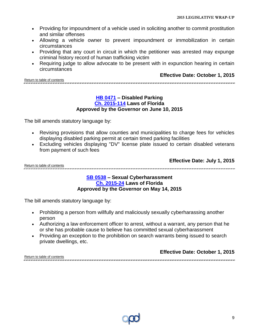- Providing for impoundment of a vehicle used in soliciting another to commit prostitution and similar offenses
- Allowing a vehicle owner to prevent impoundment or immobilization in certain circumstances
- Providing that any court in circuit in which the petitioner was arrested may expunge criminal history record of human trafficking victim
- Requiring judge to allow advocate to be present with in expunction hearing in certain circumstances

[Return to table of contents](#page-1-0)

#### **Effective Date: October 1, 2015**

<span id="page-8-0"></span>

#### **[HB 0471](http://www.flsenate.gov/Session/Bill/2015/0471) – Disabled Parking [Ch. 2015-114](http://laws.flrules.org/2015/114) Laws of Florida Approved by the Governor on June 10, 2015**

The bill amends statutory language by:

- Revising provisions that allow counties and municipalities to charge fees for vehicles displaying disabled parking permit at certain timed parking facilities
- Excluding vehicles displaying "DV" license plate issued to certain disabled veterans from payment of such fees

**Effective Date: July 1, 2015**

<span id="page-8-1"></span>[Return to table of contents](#page-1-0)

#### **[SB 0538](http://www.flsenate.gov/Session/Bill/2015/0538/BillText/er/PDF) – Sexual Cyberharassment [Ch. 2015-24](http://laws.flrules.org/2015/24) Laws of Florida Approved by the Governor on May 14, 2015**

The bill amends statutory language by:

- Prohibiting a person from willfully and maliciously sexually cyberharassing another person
- Authorizing a law enforcement officer to arrest, without a warrant, any person that he or she has probable cause to believe has committed sexual cyberharassment
- Providing an exception to the prohibition on search warrants being issued to search private dwellings, etc.

#### **Effective Date: October 1, 2015** [Return to table of contents](#page-1-0)

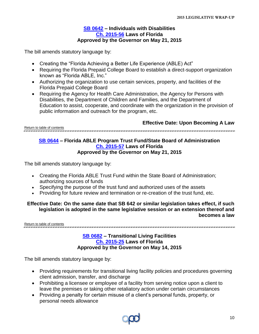#### **[SB 0642](http://www.flsenate.gov/Session/Bill/2015/0642/BillText/er/PDF) – Individuals with Disabilities [Ch. 2015-56](http://laws.flrules.org/2015/56) Laws of Florida Approved by the Governor on May 21, 2015**

<span id="page-9-0"></span>The bill amends statutory language by:

- Creating the "Florida Achieving a Better Life Experience (ABLE) Act"
- Requiring the Florida Prepaid College Board to establish a direct-support organization known as "Florida ABLE, Inc."
- Authorizing the organization to use certain services, property, and facilities of the Florida Prepaid College Board
- Requiring the Agency for Health Care Administration, the Agency for Persons with Disabilities, the Department of Children and Families, and the Department of Education to assist, cooperate, and coordinate with the organization in the provision of public information and outreach for the program, etc.

#### **Effective Date: Upon Becoming A Law**

<span id="page-9-1"></span>[Return to table of contents](#page-1-0) .<br>TANAN DI TANGGA TANGGA TANGGA TANGGA TANGGA TANGGA TANGGA TANGGA TANGGA TANGGA TANGGA TANGGA TANGGA TANGGA TANGGA TANGGA TANGGA TANGGA TANGGA TANGGA TANGGA TANGG

#### **[SB 0644](http://www.flsenate.gov/Session/Bill/2015/0644/BillText/er/PDF) – Florida ABLE Program Trust Fund/State Board of Administration [Ch. 2015-57](http://laws.flrules.org/2015/57) Laws of Florida Approved by the Governor on May 21, 2015**

The bill amends statutory language by:

- Creating the Florida ABLE Trust Fund within the State Board of Administration; authorizing sources of funds
- Specifying the purpose of the trust fund and authorized uses of the assets
- Providing for future review and termination or re-creation of the trust fund, etc.

#### **Effective Date: On the same date that SB 642 or similar legislation takes effect, if such legislation is adopted in the same legislative session or an extension thereof and becomes a law**

<span id="page-9-2"></span>[Return to table of contents](#page-1-0)

#### **[SB 0682](http://www.flsenate.gov/Session/Bill/2015/0682/BillText/er/PDF) – Transitional Living Facilities [Ch. 2015-25](http://laws.flrules.org/2015/25) Laws of Florida Approved by the Governor on May 14, 2015**

The bill amends statutory language by:

- Providing requirements for transitional living facility policies and procedures governing client admission, transfer, and discharge
- Prohibiting a licensee or employee of a facility from serving notice upon a client to leave the premises or taking other retaliatory action under certain circumstances
- Providing a penalty for certain misuse of a client's personal funds, property, or personal needs allowance

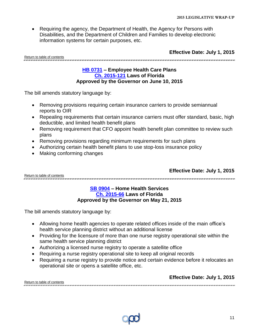• Requiring the agency, the Department of Health, the Agency for Persons with Disabilities, and the Department of Children and Families to develop electronic information systems for certain purposes, etc.

**Effective Date: July 1, 2015**

<span id="page-10-0"></span>[Return to table of contents](#page-1-0)

#### **[HB 0731](http://www.flsenate.gov/Session/Bill/2015/0731) – Employee Health Care Plans [Ch. 2015-121](http://laws.flrules.org/2015/121) Laws of Florida Approved by the Governor on June 10, 2015**

.<br>In the theory and the chart has the chart has the chart the chart has the chart has the chart has the chart has the chart has the chart has the chart

The bill amends statutory language by:

- Removing provisions requiring certain insurance carriers to provide semiannual reports to OIR
- Repealing requirements that certain insurance carriers must offer standard, basic, high deductible, and limited health benefit plans
- Removing requirement that CFO appoint health benefit plan committee to review such plans
- Removing provisions regarding minimum requirements for such plans
- Authorizing certain health benefit plans to use stop-loss insurance policy
- Making conforming changes

**Effective Date: July 1, 2015**

<span id="page-10-1"></span>[Return to table of contents](#page-1-0)

#### **SB [0904](http://www.flsenate.gov/Session/Bill/2015/0904/BillText/er/PDF) – Home Health Services [Ch. 2015-66](http://laws.flrules.org/2015/66) Laws of Florida Approved by the Governor on May 21, 2015**

The bill amends statutory language by:

- Allowing home health agencies to operate related offices inside of the main office's health service planning district without an additional license
- Providing for the licensure of more than one nurse registry operational site within the same health service planning district
- Authorizing a licensed nurse registry to operate a satellite office
- Requiring a nurse registry operational site to keep all original records
- Requiring a nurse registry to provide notice and certain evidence before it relocates an operational site or opens a satellite office, etc.

**Effective Date: July 1, 2015**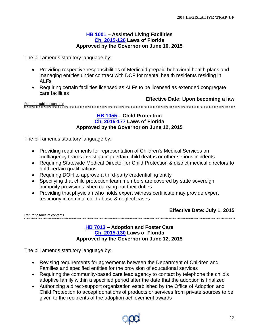#### **[HB 1001](http://www.flsenate.gov/Session/Bill/2015/1001) – Assisted Living Facilities [Ch. 2015-126](http://laws.flrules.org/2015/126) Laws of Florida Approved by the Governor on June 10, 2015**

<span id="page-11-0"></span>The bill amends statutory language by:

- Providing respective responsibilities of Medicaid prepaid behavioral health plans and managing entities under contract with DCF for mental health residents residing in ALFs
- Requiring certain facilities licensed as ALFs to be licensed as extended congregate care facilities

**Effective Date: Upon becoming a law**

<span id="page-11-1"></span>[Return to table of contents](#page-1-0) 

#### **[HB 1055](http://www.flsenate.gov/Session/Bill/2015/1055) – Child Protection [Ch. 2015-177](http://laws.flrules.org/2015/177) Laws of Florida Approved by the Governor on June 12, 2015**

The bill amends statutory language by:

- Providing requirements for representation of Children's Medical Services on multiagency teams investigating certain child deaths or other serious incidents
- Requiring Statewide Medical Director for Child Protection & district medical directors to hold certain qualifications
- Requiring DOH to approve a third-party credentialing entity
- Specifying that child protection team members are covered by state sovereign immunity provisions when carrying out their duties
- Providing that physician who holds expert witness certificate may provide expert testimony in criminal child abuse & neglect cases

[Return to table of contents](#page-1-0)

**Effective Date: July 1, 2015**

<span id="page-11-2"></span>.<br>THE CHILL WILL FOR THE CHILL FOR THE CHILL FOR THE CHILL FOR THE CHILL FOR THE CHILL FOR THE CHILL FOR THE CHILL FOR THE CHILL FOR THE CHILL FOR THE CHILL FOR THE CHILL FOR THE CHILL FOR THE CHILL FOR THE CHILL FOR THE C

**[HB 7013](http://www.flsenate.gov/Session/Bill/2015/7013) – Adoption and Foster Care [Ch. 2015-130](http://laws.flrules.org/2015/130) Laws of Florida Approved by the Governor on June 12, 2015**

The bill amends statutory language by:

- Revising requirements for agreements between the Department of Children and Families and specified entities for the provision of educational services
- Requiring the community-based care lead agency to contact by telephone the child's adoptive family within a specified period after the date that the adoption is finalized
- Authorizing a direct-support organization established by the Office of Adoption and Child Protection to accept donations of products or services from private sources to be given to the recipients of the adoption achievement awards

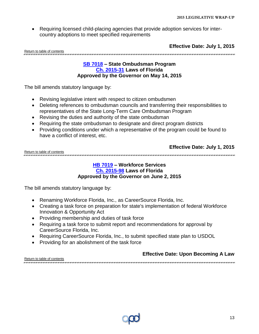Requiring licensed child-placing agencies that provide adoption services for intercountry adoptions to meet specified requirements

**Effective Date: July 1, 2015**

<span id="page-12-0"></span>[Return to table of contents](#page-1-0)

#### **[SB 7018](http://www.flsenate.gov/Session/Bill/2015/7018/BillText/er/PDF) – State Ombudsman Program [Ch. 2015-31](http://laws.flrules.org/2015/31) Laws of Florida Approved by the Governor on May 14, 2015**

The bill amends statutory language by:

- Revising legislative intent with respect to citizen ombudsmen
- Deleting references to ombudsman councils and transferring their responsibilities to representatives of the State Long-Term Care Ombudsman Program
- Revising the duties and authority of the state ombudsman
- Requiring the state ombudsman to designate and direct program districts
- Providing conditions under which a representative of the program could be found to have a conflict of interest, etc.

|                             | Effective Date: July 1, 2015 |
|-----------------------------|------------------------------|
| Doturn to table of contanta |                              |

<span id="page-12-1"></span>[Return to table of contents](#page-1-0) 

#### **[HB 7019](http://www.flsenate.gov/Session/Bill/2015/7019) – Workforce Services [Ch. 2015-98](http://laws.flrules.org/2015/98) Laws of Florida Approved by the Governor on June 2, 2015**

The bill amends statutory language by:

- Renaming Workforce Florida, Inc., as CareerSource Florida, Inc.
- Creating a task force on preparation for state's implementation of federal Workforce Innovation & Opportunity Act
- Providing membership and duties of task force
- Requiring a task force to submit report and recommendations for approval by CareerSource Florida, Inc.
- Requiring CareerSource Florida, Inc., to submit specified state plan to USDOL
- Providing for an abolishment of the task force

**Effective Date: Upon Becoming A Law**

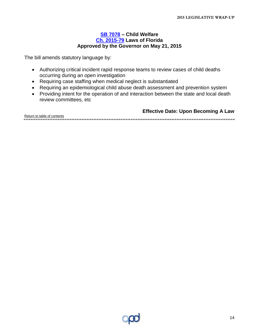#### **[SB 7078](http://www.flsenate.gov/Session/Bill/2015/7078/BillText/er/PDF) – Child Welfare [Ch. 2015-79](http://laws.flrules.org/2015/79) Laws of Florida Approved by the Governor on May 21, 2015**

<span id="page-13-0"></span>The bill amends statutory language by:

- Authorizing critical incident rapid response teams to review cases of child deaths occurring during an open investigation
- Requiring case staffing when medical neglect is substantiated
- Requiring an epidemiological child abuse death assessment and prevention system
- Providing intent for the operation of and interaction between the state and local death review committees, etc

**Effective Date: Upon Becoming A Law**

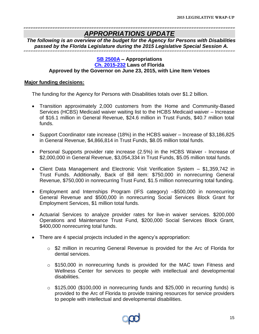### *APPROPRIATIONS UPDATE*

<span id="page-14-0"></span>*The following is an overview of the budget for the Agency for Persons with Disabilities passed by the Florida Legislature during the 2015 Legislative Special Session A.*

#### **[SB 2500A](http://www.flsenate.gov/Session/Bill/2015A/2500A/BillText/er/PDF) – Appropriations [Ch. 2015-232](http://laws.flrules.org/2015/232) Laws of Florida**

#### **Approved by the Governor on June 23, 2015, with Line Item Vetoes**

#### **Major funding decisions:**

The funding for the Agency for Persons with Disabilities totals over \$1.2 billion.

- Transition approximately 2,000 customers from the Home and Community-Based Services (HCBS) Medicaid waiver waiting list to the HCBS Medicaid waiver – Increase of \$16.1 million in General Revenue, \$24.6 million in Trust Funds, \$40.7 million total funds.
- Support Coordinator rate increase (18%) in the HCBS waiver Increase of \$3,186,825 in General Revenue, \$4,866,814 in Trust Funds, \$8.05 million total funds.
- Personal Supports provider rate increase (2.5%) in the HCBS Waiver Increase of \$2,000,000 in General Revenue, \$3,054,334 in Trust Funds, \$5.05 million total funds.
- Client Data Management and Electronic Visit Verification System \$1,359,742 in Trust Funds. Additionally, Back of Bill item: \$750,000 in nonrecurring General Revenue, \$750,000 in nonrecurring Trust Fund, \$1.5 million nonrecurring total funding.
- Employment and Internships Program (IFS category) –\$500,000 in nonrecurring General Revenue and \$500,000 in nonrecurring Social Services Block Grant for Employment Services, \$1 million total funds.
- Actuarial Services to analyze provider rates for live-in waiver services. \$200,000 Operations and Maintenance Trust Fund, \$200,000 Social Services Block Grant, \$400,000 nonrecurring total funds.
- There are 4 special projects included in the agency's appropriation:
	- o \$2 million in recurring General Revenue is provided for the Arc of Florida for dental services.
	- $\circ$  \$150,000 in nonrecurring funds is provided for the MAC town Fitness and Wellness Center for services to people with intellectual and developmental disabilities.
	- $\circ$  \$125,000 (\$100,000 in nonrecurring funds and \$25,000 in recurring funds) is provided to the Arc of Florida to provide training resources for service providers to people with intellectual and developmental disabilities.

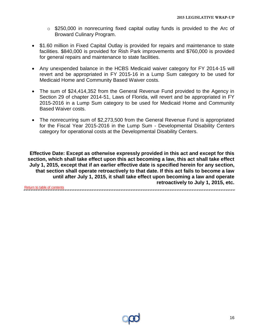- o \$250,000 in nonrecurring fixed capital outlay funds is provided to the Arc of Broward Culinary Program.
- \$1.60 million in Fixed Capital Outlay is provided for repairs and maintenance to state facilities. \$840,000 is provided for Rish Park improvements and \$760,000 is provided for general repairs and maintenance to state facilities.
- Any unexpended balance in the HCBS Medicaid waiver category for FY 2014-15 will revert and be appropriated in FY 2015-16 in a Lump Sum category to be used for Medicaid Home and Community Based Waiver costs.
- The sum of \$24,414,352 from the General Revenue Fund provided to the Agency in Section 29 of chapter 2014-51, Laws of Florida, will revert and be appropriated in FY 2015-2016 in a Lump Sum category to be used for Medicaid Home and Community Based Waiver costs.
- The nonrecurring sum of \$2,273,500 from the General Revenue Fund is appropriated for the Fiscal Year 2015-2016 in the Lump Sum - Developmental Disability Centers category for operational costs at the Developmental Disability Centers.

**Effective Date: Except as otherwise expressly provided in this act and except for this section, which shall take effect upon this act becoming a law, this act shall take effect July 1, 2015, except that if an earlier effective date is specified herein for any section, that section shall operate retroactively to that date. If this act fails to become a law until after July 1, 2015, it shall take effect upon becoming a law and operate retroactively to July 1, 2015, etc.**

[Return to table of contents](#page-1-0).<br>מספר מותר מותר שונת מותר שונת מותר מותר שונת מותר מותר שונת מותר מותר שונת מותר מותר מותר מותר מותר שונת מותר 

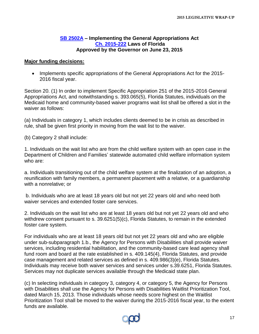#### **[SB 2502A](http://www.flsenate.gov/Session/Bill/2015A/2502A/BillText/er/PDF) – Implementing the General Appropriations Act [Ch. 2015-222](http://laws.flrules.org/2015/222) Laws of Florida Approved by the Governor on June 23, 2015**

#### <span id="page-16-0"></span>**Major funding decisions:**

• Implements specific appropriations of the General Appropriations Act for the 2015-2016 fiscal year.

Section 20. (1) In order to implement Specific Appropriation 251 of the 2015-2016 General Appropriations Act, and notwithstanding s. 393.065(5), Florida Statutes, individuals on the Medicaid home and community-based waiver programs wait list shall be offered a slot in the waiver as follows:

(a) Individuals in category 1, which includes clients deemed to be in crisis as described in rule, shall be given first priority in moving from the wait list to the waiver.

(b) Category 2 shall include:

1. Individuals on the wait list who are from the child welfare system with an open case in the Department of Children and Families' statewide automated child welfare information system who are:

a. Individuals transitioning out of the child welfare system at the finalization of an adoption, a reunification with family members, a permanent placement with a relative, or a guardianship with a nonrelative; or

b. Individuals who are at least 18 years old but not yet 22 years old and who need both waiver services and extended foster care services.

2. Individuals on the wait list who are at least 18 years old but not yet 22 years old and who withdrew consent pursuant to s. 39.6251(5)(c), Florida Statutes, to remain in the extended foster care system.

For individuals who are at least 18 years old but not yet 22 years old and who are eligible under sub-subparagraph 1.b., the Agency for Persons with Disabilities shall provide waiver services, including residential habilitation, and the community-based care lead agency shall fund room and board at the rate established in s. 409.145(4), Florida Statutes, and provide case management and related services as defined in s. 409.986(3)(e), Florida Statutes. Individuals may receive both waiver services and services under s.39.6251, Florida Statutes. Services may not duplicate services available through the Medicaid state plan.

(c) In selecting individuals in category 3, category 4, or category 5, the Agency for Persons with Disabilities shall use the Agency for Persons with Disabilities Waitlist Prioritization Tool, dated March 15, 2013. Those individuals whose needs score highest on the Waitlist Prioritization Tool shall be moved to the waiver during the 2015-2016 fiscal year, to the extent funds are available.

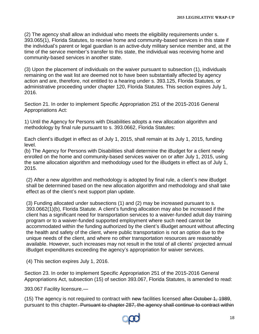(2) The agency shall allow an individual who meets the eligibility requirements under s. 393.065(1), Florida Statutes, to receive home and community-based services in this state if the individual's parent or legal guardian is an active-duty military service member and, at the time of the service member's transfer to this state, the individual was receiving home and community-based services in another state.

(3) Upon the placement of individuals on the waiver pursuant to subsection (1), individuals remaining on the wait list are deemed not to have been substantially affected by agency action and are, therefore, not entitled to a hearing under s. 393.125, Florida Statutes, or administrative proceeding under chapter 120, Florida Statutes. This section expires July 1, 2016.

Section 21. In order to implement Specific Appropriation 251 of the 2015-2016 General Appropriations Act:

1) Until the Agency for Persons with Disabilities adopts a new allocation algorithm and methodology by final rule pursuant to s. 393.0662, Florida Statutes:

Each client's iBudget in effect as of July 1, 2015, shall remain at its July 1, 2015, funding level.

(b) The Agency for Persons with Disabilities shall determine the iBudget for a client newly enrolled on the home and community-based services waiver on or after July 1, 2015, using the same allocation algorithm and methodology used for the iBudgets in effect as of July 1, 2015.

(2) After a new algorithm and methodology is adopted by final rule, a client's new iBudget shall be determined based on the new allocation algorithm and methodology and shall take effect as of the client's next support plan update.

(3) Funding allocated under subsections (1) and (2) may be increased pursuant to s. 393.0662(1)(b), Florida Statute. A client's funding allocation may also be increased if the client has a significant need for transportation services to a waiver-funded adult day training program or to a waiver-funded supported employment where such need cannot be accommodated within the funding authorized by the client's iBudget amount without affecting the health and safety of the client, where public transportation is not an option due to the unique needs of the client, and where no other transportation resources are reasonably available. However, such increases may not result in the total of all clients' projected annual iBudget expenditures exceeding the agency's appropriation for waiver services.

(4) This section expires July 1, 2016.

Section 23. In order to implement Specific Appropriation 251 of the 2015-2016 General Appropriations Act, subsection (15) of section 393.067, Florida Statutes, is amended to read:

393.067 Facility licensure.—

(15) The agency is not required to contract with new facilities licensed after October 1, 1989, pursuant to this chapter. Pursuant to chapter 287, the agency shall continue to contract within

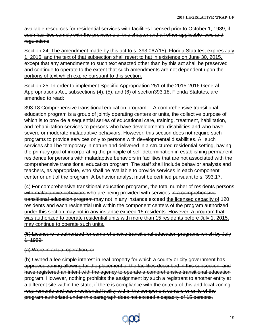available resources for residential services with facilities licensed prior to October 1, 1989, if such facilities comply with the provisions of this chapter and all other applicable laws and **regulations** 

Section 24. The amendment made by this act to s. 393.067(15), Florida Statutes, expires July 1, 2016, and the text of that subsection shall revert to hat in existence on June 30, 2015, except that any amendments to such text enacted other than by this act shall be preserved and continue to operate to the extent that such amendments are not dependent upon the portions of text which expire pursuant to this section.

Section 25. In order to implement Specific Appropriation 251 of the 2015-2016 General Appropriations Act, subsections (4), (5), and (6) of section393.18, Florida Statutes, are amended to read:

393.18 Comprehensive transitional education program.—A comprehensive transitional education program is a group of jointly operating centers or units, the collective purpose of which is to provide a sequential series of educational care, training, treatment, habilitation, and rehabilitation services to persons who have developmental disabilities and who have severe or moderate maladaptive behaviors. However, this section does not require such programs to provide services only to persons with developmental disabilities. All such services shall be temporary in nature and delivered in a structured residential setting, having the primary goal of incorporating the principle of self-determination in establishing permanent residence for persons with maladaptive behaviors in facilities that are not associated with the comprehensive transitional education program. The staff shall include behavior analysts and teachers, as appropriate, who shall be available to provide services in each component center or unit of the program. A behavior analyst must be certified pursuant to s. 393.17.

(4) For comprehensive transitional education programs, the total number of residents persons with maladaptive behaviors who are being provided with services in a comprehensive transitional education program may not in any instance exceed the licensed capacity of 120 residents and each residential unit within the component centers of the program authorized under this section may not in any instance exceed 15 residents. However, a program that was authorized to operate residential units with more than 15 residents before July 1, 2015, may continue to operate such units.

(5) Licensure is authorized for comprehensive transitional education programs which by July 1, 1989:

(a) Were in actual operation; or

(b) Owned a fee simple interest in real property for which a county or city government has approved zoning allowing for the placement of the facilities described in this subsection, and have registered an intent with the agency to operate a comprehensive transitional education program. However, nothing prohibits the assignment by such a registrant to another entity at a different site within the state, if there is compliance with the criteria of this and local zoning requirements and each residential facility within the component centers or units of the program authorized under this paragraph does not exceed a capacity of 15 persons.

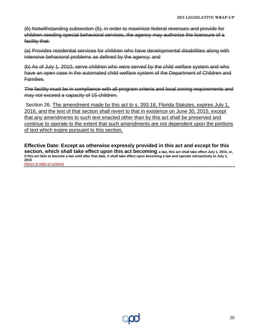(6) Notwithstanding subsection (5), in order to maximize federal revenues and provide for children needing special behavioral services, the agency may authorize the licensure of a facility that:

(a) Provides residential services for children who have developmental disabilities along with intensive behavioral problems as defined by the agency; and

(b) As of July 1, 2010, serve children who were served by the child welfare system and who have an open case in the automated child welfare system of the Department of Children and Families.

The facility must be in compliance with all program criteria and local zoning requirements and may not exceed a capacity of 15 children.

Section 26. The amendment made by this act to s. 393.18, Florida Statutes, expires July 1, 2016, and the text of that section shall revert to that in existence on June 30, 2015, except that any amendments to such text enacted other than by this act shall be preserved and continue to operate to the extent that such amendments are not dependent upon the portions of text which expire pursuant to this section.

**Effective Date: Except as otherwise expressly provided in this act and except for this section, which shall take effect upon this act becoming a law, this act shall take effect July 1, 2015, or, if this act fails to become a law until after that date, it shall take effect upon becoming a law and operate retroactively to July 1, 2015** [Return to table of contents](#page-1-0)

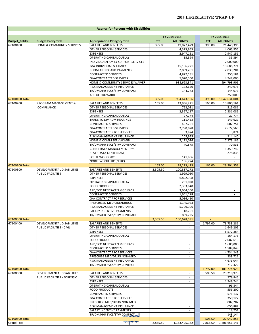|                      |                                  | <b>Agency for Persons with Disabilities</b>                 |            |                          |            |                          |
|----------------------|----------------------------------|-------------------------------------------------------------|------------|--------------------------|------------|--------------------------|
|                      |                                  |                                                             |            | FY 2014-2015             |            | FY 2015-2016             |
| <b>Budget_Entity</b> | <b>Budget Entity Title</b>       | <b>Appropriation Category Title</b>                         | <b>FTE</b> | <b>ALL FUNDS</b>         | <b>FTE</b> | <b>ALL FUNDS</b>         |
| 67100100             | HOME & COMMUNITY SERVICES        | SALARIES AND BENEFITS                                       | 395.00     | 19,877,479               | 395.00     | 21,440,396               |
|                      |                                  | OTHER PERSONAL SERVICES                                     |            | 4,323,955                |            | 4,063,955                |
|                      |                                  | <b>EXPENSES</b>                                             |            | 2,947,151                |            | 2,947,151                |
|                      |                                  | OPERATING CAPITAL OUTLAY                                    |            | 35,394                   |            | 35,394                   |
|                      |                                  | INDIVIDUAL/FAMILY SUPPORT SERVICES                          |            |                          |            | 2,000,000                |
|                      |                                  | G/A-INDIVIDUAL & FAMILY                                     |            | 15,186,771               |            | 13,686,771               |
|                      |                                  | ROOM AND BOARD PAYMENTS                                     |            | 2,839,201                |            | 2,839,201                |
|                      |                                  | CONTRACTED SERVICES                                         |            | 4,822,181                |            | 250,181                  |
|                      |                                  | G/A-CONTRACTED SERVICES<br>HOME & COMMUNITY SERVICES WAIVER |            | 5,670,300<br>938,623,341 |            | 4,942,000<br>994,793,906 |
|                      |                                  | RISK MANAGEMENT INSURANCE                                   |            | 172,620                  |            | 240,976                  |
|                      |                                  | TR/DMS/HR SVCS/STW CONTRACT                                 |            | 144,773                  |            | 144,073                  |
|                      |                                  | ARC OF BROWARD                                              |            |                          |            | 250,000                  |
| 67100100 Total       |                                  |                                                             | 395.00     | 994,643,166              | 395.00     | 1,047,634,004            |
| 67100200             | PROGRAM MANAGEMENT &             | SALARIES AND BENEFITS                                       | 165.00     | 13,936,221               | 165.00     | 13,800,161               |
|                      | <b>COMPLIANCE</b>                | OTHER PERSONAL SERVICES                                     |            | 762,081                  |            | 515,081                  |
|                      |                                  | <b>EXPENSES</b>                                             |            | 2,367,117                |            | 2,331,086                |
|                      |                                  | OPERATING CAPITAL OUTLAY                                    |            | 27,774                   |            | 27,774                   |
|                      |                                  | TRANS TO DIV ADM HEARINGS                                   |            | 111,453                  |            | 149,627                  |
|                      |                                  | CONTRACTED SERVICES                                         |            | 497,251                  |            | 607,751                  |
|                      |                                  | G/A-CONTRACTED SERVICES                                     |            | 2,790,078                |            | 2,672,565                |
|                      |                                  | G/A-CONTRACT PROF SERVICES                                  |            | 3,874                    |            | 3,874                    |
|                      |                                  | RISK MANAGEMENT INSURANCE                                   |            | 205,995                  |            | 214,140                  |
|                      |                                  | HOME & COMM SERV ADMIN                                      |            | 7,172,076                |            | 7,273,186                |
|                      |                                  | TR/DMS/HR SVCS/STW CONTRACT                                 |            | 70,875                   |            | 70,533                   |
|                      |                                  | CLIENT DATA MANAGEMENT SYS                                  |            |                          |            | 1,359,742                |
|                      |                                  | STATE DATA CENTER (AST)<br>SOUTHWOOD SRC                    |            | 141,856                  |            | 278,838<br>$\sim$        |
|                      |                                  | NORTHWOOD SRC (NSRC)                                        |            | 136,774                  |            |                          |
| 67100200 Total       |                                  |                                                             | 165.00     | 28,223,425               | 165.00     | 29,304,358               |
| 67100300             | DEVELOPMENTAL DISABILITIES       | SALARIES AND BENEFITS                                       | 2,305.50   | 100,887,172              |            |                          |
|                      | PUBLIC FACILITIES                | OTHER PERSONAL SERVICES                                     |            | 1,929,050                |            | $\sim$                   |
|                      |                                  | <b>EXPENSES</b>                                             |            | 6,822,108                |            | $\overline{\phantom{a}}$ |
|                      |                                  | OPERATING CAPITAL OUTLAY                                    |            | 261,020                  |            | $\sim$                   |
|                      |                                  | FOOD PRODUCTS                                               |            | 2,363,848                |            | $\sim$                   |
|                      |                                  | APD/FCO NEEDS/CEN MGD FACS                                  |            | 3,664,300                |            | $\overline{\phantom{a}}$ |
|                      |                                  | CONTRACTED SERVICES                                         |            | 1,951,178                |            | $\overline{\phantom{a}}$ |
|                      |                                  | G/A-CONTRACT PROF SERVICES                                  |            | 5,016,410                |            | $\overline{\phantom{a}}$ |
|                      |                                  | PRESCRIBED MEDICINE/DRUGS                                   |            | 1,145,923                |            | $\sim$                   |
|                      |                                  | RISK MANAGEMENT INSURANCE                                   |            | 5,709,106                |            | ÷.                       |
|                      |                                  | SALARY INCENTIVE PAYMENTS                                   |            | 18,751<br>859,725        |            | $\sim$                   |
| 67100300 Total       |                                  | TR/DMS/HR SVCS/STW CONTRACT                                 | 2,305.50   | 130,628,591              |            |                          |
| 67100400             | DEVELOPMENTAL DISABILITIES       | SALARIES AND BENEFITS                                       |            |                          | 1,797.00   | 78,733,281               |
|                      | <b>PUBLIC FACILITIES - CIVIL</b> | OTHER PERSONAL SERVICES                                     |            |                          |            | 1,649,205                |
|                      |                                  | <b>EXPENSES</b>                                             |            | $\sim$                   |            | 5,572,364                |
|                      |                                  | OPERATING CAPITAL OUTLAY                                    |            |                          |            | 164,176                  |
|                      |                                  | FOOD PRODUCTS                                               |            | $\overline{\phantom{a}}$ |            | 2,087,619                |
|                      |                                  | APD/FCO NEEDS/CEN MGD FACS                                  |            | $\overline{\phantom{a}}$ |            | 1,600,000                |
|                      |                                  | <b>CONTRACTED SERVICES</b>                                  |            | $\overline{\phantom{a}}$ |            | 1,509,848                |
|                      |                                  | G/A-CONTRACT PROF SERVICES                                  |            | $\sim$                   |            | 4,734,243                |
|                      |                                  | PRESCRIBE MED/DRUG NON-MED                                  |            | $\sim$                   |            | 338,721                  |
|                      |                                  | RISK MANAGEMENT INSURANCE                                   |            |                          |            | 4,673,044                |
|                      |                                  | TR/DMS/HR SVCS/STW CONTRCT                                  |            | $\sim$                   |            | 712,422                  |
| 67100400 Total       |                                  |                                                             |            |                          | 1,797.00   | 101,774,923              |
| 67100500             | DEVELOPMENTAL DISABILITIES       | SALARIES AND BENEFITS                                       |            |                          | 508.50     | 23,218,978               |
|                      | PUBLIC FACILITIES - FORENSIC     | OTHER PERSONAL SERVICES                                     |            | $\sim$                   |            | 279,845                  |
|                      |                                  | <b>EXPENSES</b>                                             |            |                          |            | 1,249,744                |
|                      |                                  | OPERATING CAPITAL OUTLAY                                    |            | $\overline{\phantom{a}}$ |            | 96,844                   |
|                      |                                  | FOOD PRODUCTS                                               |            | $\overline{\phantom{a}}$ |            | 556,200                  |
|                      |                                  | CONTRACTED SERVICES                                         |            | $\overline{\phantom{a}}$ |            | 571,137                  |
|                      |                                  | G/A-CONTRACT PROF SERVICES                                  |            | $\sim$<br>$\sim$         |            | 350,122                  |
|                      |                                  | PRESCRIBE MED/DRUG NON-MED<br>RISK MANAGEMENT INSURANCE     |            |                          |            | 807,202<br>650,889       |
|                      |                                  | SALARY INCENTIVE PAYMENTS                                   |            | $\sim$                   |            | 18,751                   |
|                      |                                  | TR/DMS/HR SVCS/STW CONTRCT                                  |            |                          |            | 143,144                  |
| 67100500 Total       |                                  |                                                             |            |                          | 508.50     | 27,942,856               |
| <b>Grand Total</b>   |                                  | <b>Section</b>                                              | 2,865.50   | 1,153,495,182            | 2,865.50   | 1,206,656,141            |

г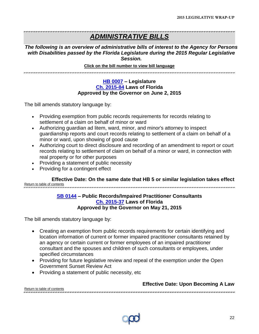### *ADMINISTRATIVE BILLS*

*The following is an overview of administrative bills of interest to the Agency for Persons with Disabilities passed by the Florida Legislature during the 2015 Regular Legislative Session.*

#### <span id="page-21-0"></span>**Click on the bill number to view bill language**

#### **[HB 0007](http://www.flsenate.gov/Session/Bill/2015/0007) – Legislature [Ch. 2015-84](http://laws.flrules.org/2015/84) Laws of Florida Approved by the Governor on June 2, 2015**

The bill amends statutory language by:

- Providing exemption from public records requirements for records relating to settlement of a claim on behalf of minor or ward
- Authorizing guardian ad litem, ward, minor, and minor's attorney to inspect guardianship reports and court records relating to settlement of a claim on behalf of a minor or ward, upon showing of good cause
- Authorizing court to direct disclosure and recording of an amendment to report or court records relating to settlement of claim on behalf of a minor or ward, in connection with real property or for other purposes
- Providing a statement of public necessity
- Providing for a contingent effect

<span id="page-21-1"></span>**Effective Date: On the same date that HB 5 or similar legislation takes effect** [Return to table of contents](#page-1-0) 

#### **[SB 0144](http://www.flsenate.gov/Session/Bill/2015/0144/BillText/er/PDF) – Public Records/Impaired Practitioner Consultants [Ch. 2015-37](http://laws.flrules.org/2015/37) Laws of Florida Approved by the Governor on May 21, 2015**

The bill amends statutory language by:

- Creating an exemption from public records requirements for certain identifying and location information of current or former impaired practitioner consultants retained by an agency or certain current or former employees of an impaired practitioner consultant and the spouses and children of such consultants or employees, under specified circumstances
- Providing for future legislative review and repeal of the exemption under the Open Government Sunset Review Act

.<br>מרשות המודיעות המרשות המרשות המרחמת המרחמת המרשות המרחמת המרחמת המרחמת המרחמת המרחמת המרחמת המרחמת המרחמת המרח

• Providing a statement of public necessity, etc

**Effective Date: Upon Becoming A Law**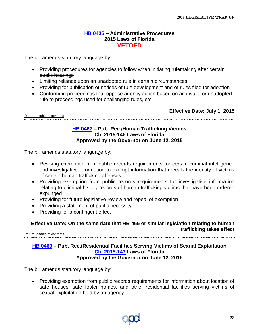#### **[HB 0435](http://www.flsenate.gov/Session/Bill/2015/0435) – Administrative Procedures 2015 Laws of Florida VETOED**

<span id="page-22-0"></span>The bill amends statutory language by:

- Providing procedures for agencies to follow when initiating rulemaking after certain public hearings
- Limiting reliance upon an unadopted rule in certain circumstances
- **•** Providing for publication of notices of rule development and of rules filed for adoption
- Conforming proceedings that oppose agency action based on an invalid or unadopted rule to proceedings used for challenging rules, etc

<span id="page-22-1"></span>[Return to table of contents](#page-1-0)

**Effective Date: July 1, 2015**

#### 

#### **[HB 0467](http://www.flsenate.gov/Session/Bill/2015/0467) – Pub. Rec./Human Trafficking Victims Ch. 2015-146 Laws of Florida Approved by the Governor on June 12, 2015**

The bill amends statutory language by:

- Revising exemption from public records requirements for certain criminal intelligence and investigative information to exempt information that reveals the identity of victims of certain human trafficking offenses
- Providing exemption from public records requirements for investigative information relating to criminal history records of human trafficking victims that have been ordered expunged
- Providing for future legislative review and repeal of exemption
- Providing a statement of public necessity
- Providing for a contingent effect

#### **Effective Date: On the same date that HB 465 or similar legislation relating to human trafficking takes effect** [Return to table of contents](#page-1-0)

### <span id="page-22-2"></span>**[HB 0469](http://www.flsenate.gov/Session/Bill/2015/0469) – Pub. Rec./Residential Facilities Serving Victims of Sexual Exploitation [Ch. 2015-147](http://laws.flrules.org/2015/147) Laws of Florida**

**Approved by the Governor on June 12, 2015**

The bill amends statutory language by:

• Providing exemption from public records requirements for information about location of safe houses, safe foster homes, and other residential facilities serving victims of sexual exploitation held by an agency

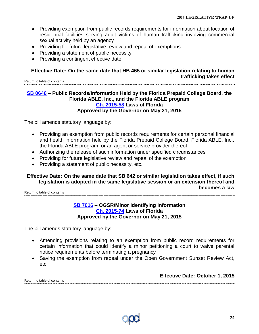- Providing exemption from public records requirements for information about location of residential facilities serving adult victims of human trafficking involving commercial sexual activity held by an agency
- Providing for future legislative review and repeal of exemptions
- Providing a statement of public necessity
- Providing a contingent effective date

#### **Effective Date: On the same date that HB 465 or similar legislation relating to human trafficking takes effect**

[Return to table of contents](#page-1-0) 

#### <span id="page-23-0"></span>**[SB 0646](http://www.flsenate.gov/Session/Bill/2015/0646/BillText/er/PDF) – Public Records/Information Held by the Florida Prepaid College Board, the Florida ABLE, Inc., and the Florida ABLE program [Ch. 2015-58](http://laws.flrules.org/2015/58) Laws of Florida Approved by the Governor on May 21, 2015**

The bill amends statutory language by:

- Providing an exemption from public records requirements for certain personal financial and health information held by the Florida Prepaid College Board, Florida ABLE, Inc., the Florida ABLE program, or an agent or service provider thereof
- Authorizing the release of such information under specified circumstances
- Providing for future legislative review and repeal of the exemption
- Providing a statement of public necessity, etc.

#### **Effective Date: On the same date that SB 642 or similar legislation takes effect, if such legislation is adopted in the same legislative session or an extension thereof and becomes a law**

<span id="page-23-1"></span>[Return to table of contents](#page-1-0)

#### **[SB 7016](http://www.flsenate.gov/Session/Bill/2015/7016/BillText/er/PDF) – OGSR/Minor Identifying Information [Ch. 2015-74](http://laws.flrules.org/2015/74) Laws of Florida Approved by the Governor on May 21, 2015**

The bill amends statutory language by:

- Amending provisions relating to an exemption from public record requirements for certain information that could identify a minor petitioning a court to waive parental notice requirements before terminating a pregnancy
- Saving the exemption from repeal under the Open Government Sunset Review Act, etc

**Effective Date: October 1, 2015**